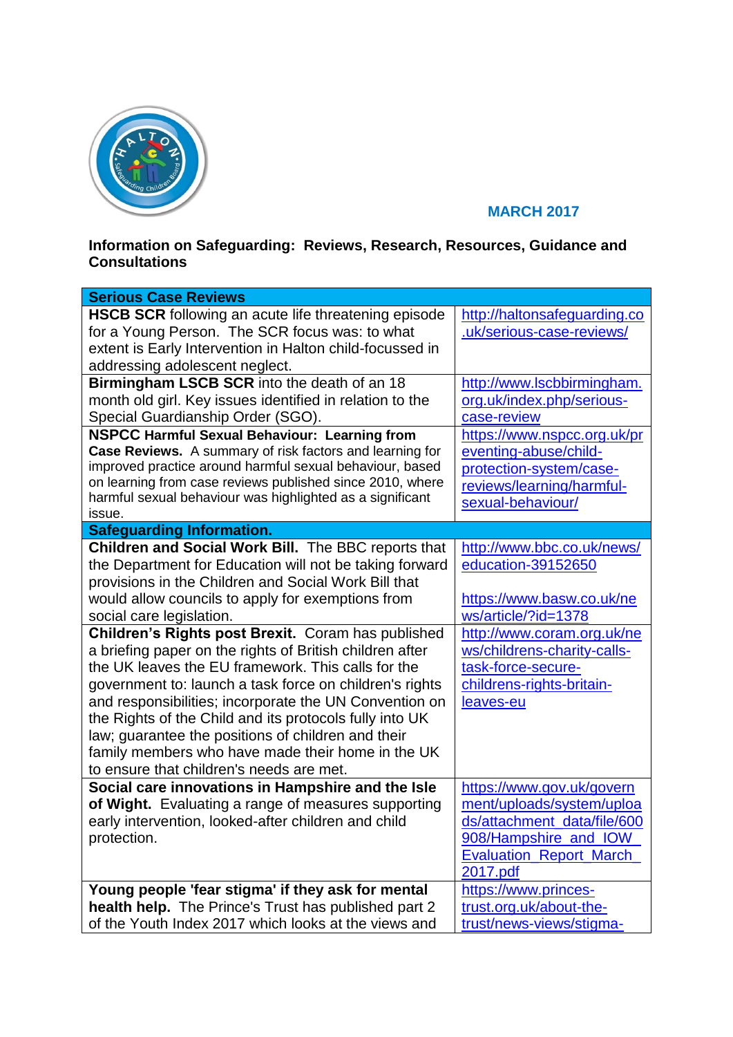

## **MARCH 2017**

## **Information on Safeguarding: Reviews, Research, Resources, Guidance and Consultations**

| <b>Serious Case Reviews</b>                                                                                                                                                                                                                                                                                                                                                                                                                                                                                                                                                                                                                                                                                                                                            |                                                                                                                                                                                                                                                                          |
|------------------------------------------------------------------------------------------------------------------------------------------------------------------------------------------------------------------------------------------------------------------------------------------------------------------------------------------------------------------------------------------------------------------------------------------------------------------------------------------------------------------------------------------------------------------------------------------------------------------------------------------------------------------------------------------------------------------------------------------------------------------------|--------------------------------------------------------------------------------------------------------------------------------------------------------------------------------------------------------------------------------------------------------------------------|
| HSCB SCR following an acute life threatening episode<br>for a Young Person. The SCR focus was: to what<br>extent is Early Intervention in Halton child-focussed in<br>addressing adolescent neglect.<br>Birmingham LSCB SCR into the death of an 18<br>month old girl. Key issues identified in relation to the<br>Special Guardianship Order (SGO).<br><b>NSPCC Harmful Sexual Behaviour: Learning from</b><br>Case Reviews. A summary of risk factors and learning for<br>improved practice around harmful sexual behaviour, based<br>on learning from case reviews published since 2010, where<br>harmful sexual behaviour was highlighted as a significant<br>issue.                                                                                               | http://haltonsafeguarding.co<br>.uk/serious-case-reviews/<br>http://www.lscbbirmingham.<br>org.uk/index.php/serious-<br>case-review<br>https://www.nspcc.org.uk/pr<br>eventing-abuse/child-<br>protection-system/case-<br>reviews/learning/harmful-<br>sexual-behaviour/ |
| <b>Safeguarding Information.</b>                                                                                                                                                                                                                                                                                                                                                                                                                                                                                                                                                                                                                                                                                                                                       |                                                                                                                                                                                                                                                                          |
| Children and Social Work Bill. The BBC reports that<br>the Department for Education will not be taking forward<br>provisions in the Children and Social Work Bill that<br>would allow councils to apply for exemptions from<br>social care legislation.<br>Children's Rights post Brexit. Coram has published<br>a briefing paper on the rights of British children after<br>the UK leaves the EU framework. This calls for the<br>government to: launch a task force on children's rights<br>and responsibilities; incorporate the UN Convention on<br>the Rights of the Child and its protocols fully into UK<br>law; guarantee the positions of children and their<br>family members who have made their home in the UK<br>to ensure that children's needs are met. | http://www.bbc.co.uk/news/<br>education-39152650<br>https://www.basw.co.uk/ne<br>ws/article/?id=1378<br>http://www.coram.org.uk/ne<br>ws/childrens-charity-calls-<br>task-force-secure-<br>childrens-rights-britain-<br>leaves-eu                                        |
| Social care innovations in Hampshire and the Isle<br>of Wight. Evaluating a range of measures supporting<br>early intervention, looked-after children and child<br>protection.                                                                                                                                                                                                                                                                                                                                                                                                                                                                                                                                                                                         | https://www.gov.uk/govern<br>ment/uploads/system/uploa<br>ds/attachment_data/file/600<br>908/Hampshire_and_IOW<br><b>Evaluation Report March</b><br>2017.pdf                                                                                                             |
| Young people 'fear stigma' if they ask for mental<br>health help. The Prince's Trust has published part 2<br>of the Youth Index 2017 which looks at the views and                                                                                                                                                                                                                                                                                                                                                                                                                                                                                                                                                                                                      | https://www.princes-<br>trust.org.uk/about-the-<br>trust/news-views/stigma-                                                                                                                                                                                              |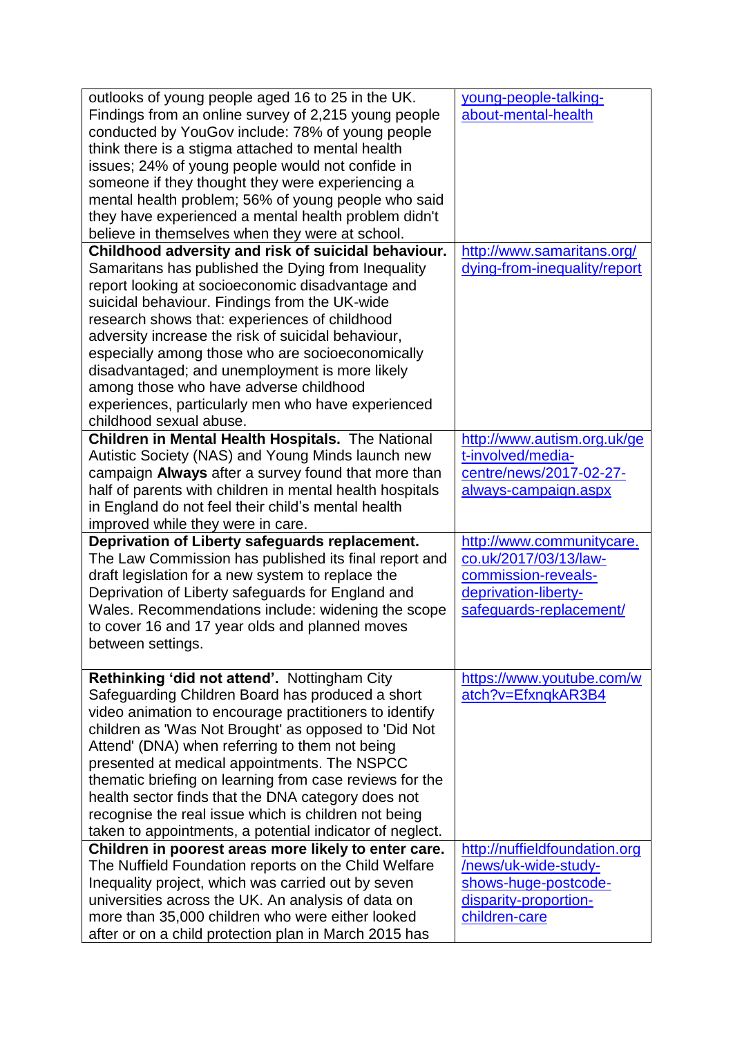| outlooks of young people aged 16 to 25 in the UK.<br>Findings from an online survey of 2,215 young people<br>conducted by YouGov include: 78% of young people<br>think there is a stigma attached to mental health<br>issues; 24% of young people would not confide in<br>someone if they thought they were experiencing a<br>mental health problem; 56% of young people who said                                                                                                                                                                                                                                        | young-people-talking-<br>about-mental-health                                                                                 |
|--------------------------------------------------------------------------------------------------------------------------------------------------------------------------------------------------------------------------------------------------------------------------------------------------------------------------------------------------------------------------------------------------------------------------------------------------------------------------------------------------------------------------------------------------------------------------------------------------------------------------|------------------------------------------------------------------------------------------------------------------------------|
| they have experienced a mental health problem didn't                                                                                                                                                                                                                                                                                                                                                                                                                                                                                                                                                                     |                                                                                                                              |
| believe in themselves when they were at school.                                                                                                                                                                                                                                                                                                                                                                                                                                                                                                                                                                          |                                                                                                                              |
| Childhood adversity and risk of suicidal behaviour.<br>Samaritans has published the Dying from Inequality<br>report looking at socioeconomic disadvantage and<br>suicidal behaviour. Findings from the UK-wide<br>research shows that: experiences of childhood<br>adversity increase the risk of suicidal behaviour,<br>especially among those who are socioeconomically<br>disadvantaged; and unemployment is more likely<br>among those who have adverse childhood<br>experiences, particularly men who have experienced                                                                                              | http://www.samaritans.org/<br>dying-from-inequality/report                                                                   |
| childhood sexual abuse.                                                                                                                                                                                                                                                                                                                                                                                                                                                                                                                                                                                                  |                                                                                                                              |
| <b>Children in Mental Health Hospitals.</b> The National<br>Autistic Society (NAS) and Young Minds launch new<br>campaign Always after a survey found that more than<br>half of parents with children in mental health hospitals<br>in England do not feel their child's mental health<br>improved while they were in care.                                                                                                                                                                                                                                                                                              | http://www.autism.org.uk/ge<br>t-involved/media-<br>centre/news/2017-02-27-<br>always-campaign.aspx                          |
| Deprivation of Liberty safeguards replacement.<br>The Law Commission has published its final report and<br>draft legislation for a new system to replace the<br>Deprivation of Liberty safeguards for England and<br>Wales. Recommendations include: widening the scope<br>to cover 16 and 17 year olds and planned moves<br>between settings.                                                                                                                                                                                                                                                                           | http://www.communitycare.<br>co.uk/2017/03/13/law-<br>commission-reveals-<br>deprivation-liberty-<br>safeguards-replacement/ |
| <b>Rethinking 'did not attend'. Nottingham City</b><br>Safeguarding Children Board has produced a short<br>video animation to encourage practitioners to identify<br>children as 'Was Not Brought' as opposed to 'Did Not<br>Attend' (DNA) when referring to them not being<br>presented at medical appointments. The NSPCC<br>thematic briefing on learning from case reviews for the<br>health sector finds that the DNA category does not<br>recognise the real issue which is children not being<br>taken to appointments, a potential indicator of neglect.<br>Children in poorest areas more likely to enter care. | https://www.youtube.com/w<br>atch?v=EfxnqkAR3B4<br>http://nuffieldfoundation.org                                             |
| The Nuffield Foundation reports on the Child Welfare<br>Inequality project, which was carried out by seven<br>universities across the UK. An analysis of data on<br>more than 35,000 children who were either looked<br>after or on a child protection plan in March 2015 has                                                                                                                                                                                                                                                                                                                                            | /news/uk-wide-study-<br>shows-huge-postcode-<br>disparity-proportion-<br>children-care                                       |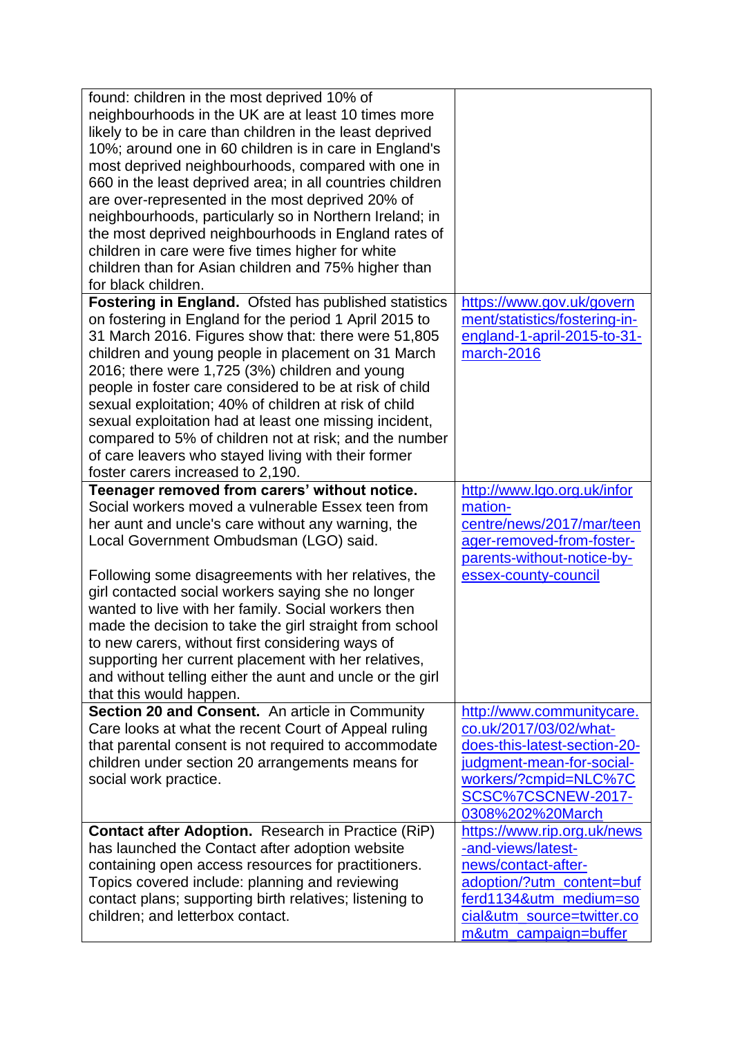| found: children in the most deprived 10% of<br>neighbourhoods in the UK are at least 10 times more<br>likely to be in care than children in the least deprived<br>10%; around one in 60 children is in care in England's<br>most deprived neighbourhoods, compared with one in<br>660 in the least deprived area; in all countries children<br>are over-represented in the most deprived 20% of<br>neighbourhoods, particularly so in Northern Ireland; in<br>the most deprived neighbourhoods in England rates of<br>children in care were five times higher for white<br>children than for Asian children and 75% higher than<br>for black children. |                                                                                                                                                                                        |
|--------------------------------------------------------------------------------------------------------------------------------------------------------------------------------------------------------------------------------------------------------------------------------------------------------------------------------------------------------------------------------------------------------------------------------------------------------------------------------------------------------------------------------------------------------------------------------------------------------------------------------------------------------|----------------------------------------------------------------------------------------------------------------------------------------------------------------------------------------|
| Fostering in England. Ofsted has published statistics<br>on fostering in England for the period 1 April 2015 to<br>31 March 2016. Figures show that: there were 51,805<br>children and young people in placement on 31 March<br>2016; there were 1,725 (3%) children and young<br>people in foster care considered to be at risk of child<br>sexual exploitation; 40% of children at risk of child<br>sexual exploitation had at least one missing incident,<br>compared to 5% of children not at risk; and the number<br>of care leavers who stayed living with their former<br>foster carers increased to 2,190.                                     | https://www.gov.uk/govern<br>ment/statistics/fostering-in-<br>england-1-april-2015-to-31-<br>march-2016                                                                                |
| Teenager removed from carers' without notice.<br>Social workers moved a vulnerable Essex teen from<br>her aunt and uncle's care without any warning, the<br>Local Government Ombudsman (LGO) said.<br>Following some disagreements with her relatives, the<br>girl contacted social workers saying she no longer<br>wanted to live with her family. Social workers then<br>made the decision to take the girl straight from school<br>to new carers, without first considering ways of<br>supporting her current placement with her relatives,<br>and without telling either the aunt and uncle or the girl<br>that this would happen.                 | http://www.lgo.org.uk/infor<br>mation-<br>centre/news/2017/mar/teen<br>ager-removed-from-foster-<br>parents-without-notice-by-<br>essex-county-council                                 |
| Section 20 and Consent. An article in Community<br>Care looks at what the recent Court of Appeal ruling<br>that parental consent is not required to accommodate<br>children under section 20 arrangements means for<br>social work practice.                                                                                                                                                                                                                                                                                                                                                                                                           | http://www.communitycare.<br>co.uk/2017/03/02/what-<br>does-this-latest-section-20-<br>judgment-mean-for-social-<br>workers/?cmpid=NLC%7C<br>SCSC%7CSCNEW-2017-<br>0308%202%20March    |
| Contact after Adoption. Research in Practice (RiP)<br>has launched the Contact after adoption website<br>containing open access resources for practitioners.<br>Topics covered include: planning and reviewing<br>contact plans; supporting birth relatives; listening to<br>children; and letterbox contact.                                                                                                                                                                                                                                                                                                                                          | https://www.rip.org.uk/news<br>-and-views/latest-<br>news/contact-after-<br>adoption/?utm_content=buf<br>ferd1134&utm_medium=so<br>cial&utm_source=twitter.co<br>m&utm_campaign=buffer |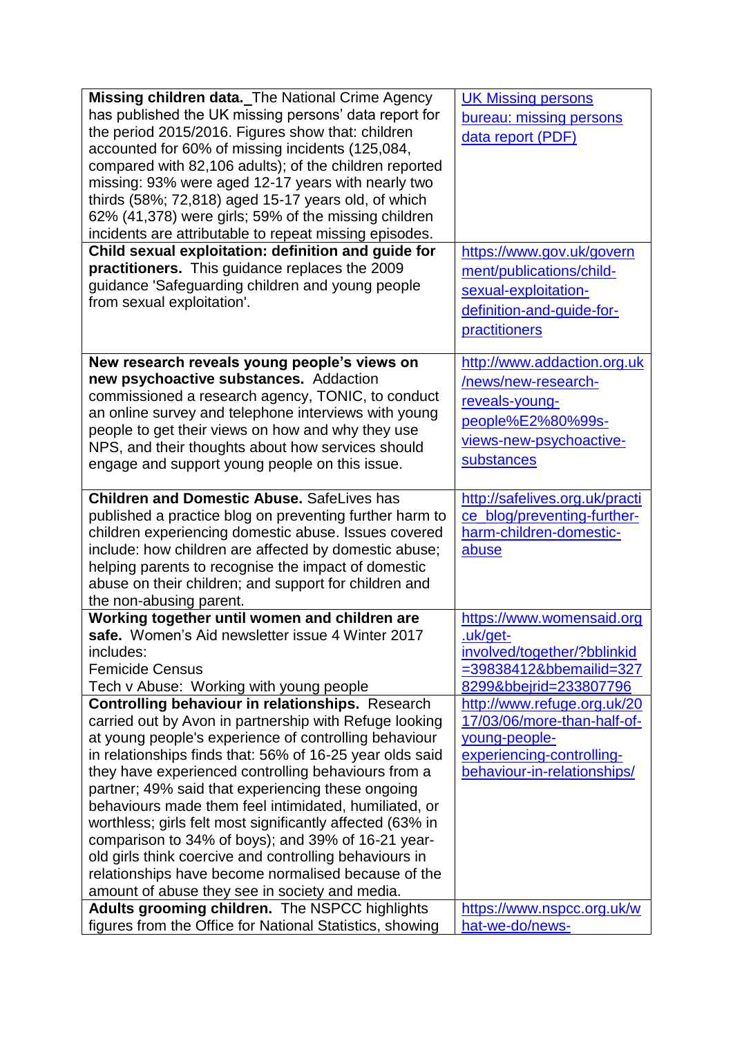| Missing children data. The National Crime Agency                                                           | <b>UK Missing persons</b>                     |
|------------------------------------------------------------------------------------------------------------|-----------------------------------------------|
| has published the UK missing persons' data report for                                                      | bureau: missing persons                       |
| the period 2015/2016. Figures show that: children                                                          | data report (PDF)                             |
| accounted for 60% of missing incidents (125,084,                                                           |                                               |
| compared with 82,106 adults); of the children reported                                                     |                                               |
| missing: 93% were aged 12-17 years with nearly two                                                         |                                               |
| thirds (58%; 72,818) aged 15-17 years old, of which                                                        |                                               |
| 62% (41,378) were girls; 59% of the missing children                                                       |                                               |
| incidents are attributable to repeat missing episodes.                                                     |                                               |
| Child sexual exploitation: definition and guide for                                                        | https://www.gov.uk/govern                     |
| practitioners. This guidance replaces the 2009                                                             | ment/publications/child-                      |
| guidance 'Safeguarding children and young people                                                           | sexual-exploitation-                          |
| from sexual exploitation'.                                                                                 | definition-and-guide-for-                     |
|                                                                                                            |                                               |
|                                                                                                            | practitioners                                 |
| New research reveals young people's views on                                                               | http://www.addaction.org.uk                   |
| new psychoactive substances. Addaction                                                                     | /news/new-research-                           |
| commissioned a research agency, TONIC, to conduct                                                          |                                               |
| an online survey and telephone interviews with young                                                       | reveals-young-                                |
| people to get their views on how and why they use                                                          | people%E2%80%99s-                             |
| NPS, and their thoughts about how services should                                                          | views-new-psychoactive-                       |
| engage and support young people on this issue.                                                             | substances                                    |
|                                                                                                            |                                               |
| <b>Children and Domestic Abuse. SafeLives has</b>                                                          | http://safelives.org.uk/practi                |
| published a practice blog on preventing further harm to                                                    | ce_blog/preventing-further-                   |
| children experiencing domestic abuse. Issues covered                                                       | harm-children-domestic-                       |
| include: how children are affected by domestic abuse;                                                      | abuse                                         |
| helping parents to recognise the impact of domestic                                                        |                                               |
| abuse on their children; and support for children and                                                      |                                               |
| the non-abusing parent.                                                                                    |                                               |
| Working together until women and children are                                                              | https://www.womensaid.org                     |
| safe. Women's Aid newsletter issue 4 Winter 2017                                                           | .uk/get-                                      |
| includes:                                                                                                  | involved/together/?bblinkid                   |
| <b>Femicide Census</b>                                                                                     | =39838412&bbemailid=327                       |
| Tech v Abuse: Working with young people                                                                    | 8299&bbejrid=233807796                        |
| <b>Controlling behaviour in relationships.</b> Research                                                    | http://www.refuge.org.uk/20                   |
| carried out by Avon in partnership with Refuge looking                                                     | 17/03/06/more-than-half-of-                   |
| at young people's experience of controlling behaviour                                                      | young-people-                                 |
| in relationships finds that: 56% of 16-25 year olds said                                                   | experiencing-controlling-                     |
| they have experienced controlling behaviours from a                                                        | behaviour-in-relationships/                   |
| partner; 49% said that experiencing these ongoing                                                          |                                               |
| behaviours made them feel intimidated, humiliated, or                                                      |                                               |
| worthless; girls felt most significantly affected (63% in                                                  |                                               |
| comparison to 34% of boys); and 39% of 16-21 year-                                                         |                                               |
| old girls think coercive and controlling behaviours in                                                     |                                               |
| relationships have become normalised because of the                                                        |                                               |
| amount of abuse they see in society and media.                                                             |                                               |
| Adults grooming children. The NSPCC highlights<br>figures from the Office for National Statistics, showing | https://www.nspcc.org.uk/w<br>hat-we-do/news- |
|                                                                                                            |                                               |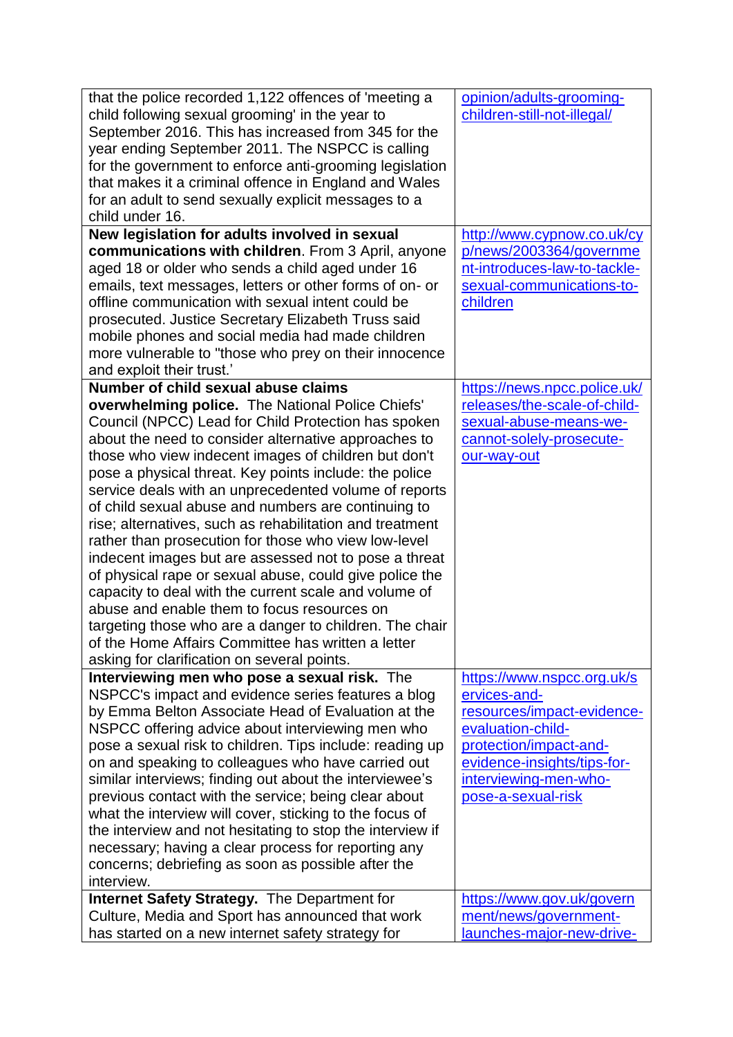| that the police recorded 1,122 offences of 'meeting a<br>child following sexual grooming' in the year to<br>September 2016. This has increased from 345 for the<br>year ending September 2011. The NSPCC is calling<br>for the government to enforce anti-grooming legislation<br>that makes it a criminal offence in England and Wales<br>for an adult to send sexually explicit messages to a<br>child under 16.                                                                                                                                                                                                                                                                                                                                                                                                                                                                                                                                       | opinion/adults-grooming-<br>children-still-not-illegal/                                                                                                                                               |
|----------------------------------------------------------------------------------------------------------------------------------------------------------------------------------------------------------------------------------------------------------------------------------------------------------------------------------------------------------------------------------------------------------------------------------------------------------------------------------------------------------------------------------------------------------------------------------------------------------------------------------------------------------------------------------------------------------------------------------------------------------------------------------------------------------------------------------------------------------------------------------------------------------------------------------------------------------|-------------------------------------------------------------------------------------------------------------------------------------------------------------------------------------------------------|
| New legislation for adults involved in sexual<br>communications with children. From 3 April, anyone<br>aged 18 or older who sends a child aged under 16<br>emails, text messages, letters or other forms of on- or<br>offline communication with sexual intent could be<br>prosecuted. Justice Secretary Elizabeth Truss said<br>mobile phones and social media had made children<br>more vulnerable to "those who prey on their innocence<br>and exploit their trust.'                                                                                                                                                                                                                                                                                                                                                                                                                                                                                  | http://www.cypnow.co.uk/cy<br>p/news/2003364/governme<br>nt-introduces-law-to-tackle-<br>sexual-communications-to-<br>children                                                                        |
| Number of child sexual abuse claims<br>overwhelming police. The National Police Chiefs'<br>Council (NPCC) Lead for Child Protection has spoken<br>about the need to consider alternative approaches to<br>those who view indecent images of children but don't<br>pose a physical threat. Key points include: the police<br>service deals with an unprecedented volume of reports<br>of child sexual abuse and numbers are continuing to<br>rise; alternatives, such as rehabilitation and treatment<br>rather than prosecution for those who view low-level<br>indecent images but are assessed not to pose a threat<br>of physical rape or sexual abuse, could give police the<br>capacity to deal with the current scale and volume of<br>abuse and enable them to focus resources on<br>targeting those who are a danger to children. The chair<br>of the Home Affairs Committee has written a letter<br>asking for clarification on several points. | https://news.npcc.police.uk/<br>releases/the-scale-of-child-<br>sexual-abuse-means-we-<br>cannot-solely-prosecute-<br>our-way-out                                                                     |
| Interviewing men who pose a sexual risk. The<br>NSPCC's impact and evidence series features a blog<br>by Emma Belton Associate Head of Evaluation at the<br>NSPCC offering advice about interviewing men who<br>pose a sexual risk to children. Tips include: reading up<br>on and speaking to colleagues who have carried out<br>similar interviews; finding out about the interviewee's<br>previous contact with the service; being clear about<br>what the interview will cover, sticking to the focus of<br>the interview and not hesitating to stop the interview if<br>necessary; having a clear process for reporting any<br>concerns; debriefing as soon as possible after the<br>interview.                                                                                                                                                                                                                                                     | https://www.nspcc.org.uk/s<br>ervices-and-<br>resources/impact-evidence-<br>evaluation-child-<br>protection/impact-and-<br>evidence-insights/tips-for-<br>interviewing-men-who-<br>pose-a-sexual-risk |
| <b>Internet Safety Strategy.</b> The Department for<br>Culture, Media and Sport has announced that work<br>has started on a new internet safety strategy for                                                                                                                                                                                                                                                                                                                                                                                                                                                                                                                                                                                                                                                                                                                                                                                             | https://www.gov.uk/govern<br>ment/news/government-<br>launches-major-new-drive-                                                                                                                       |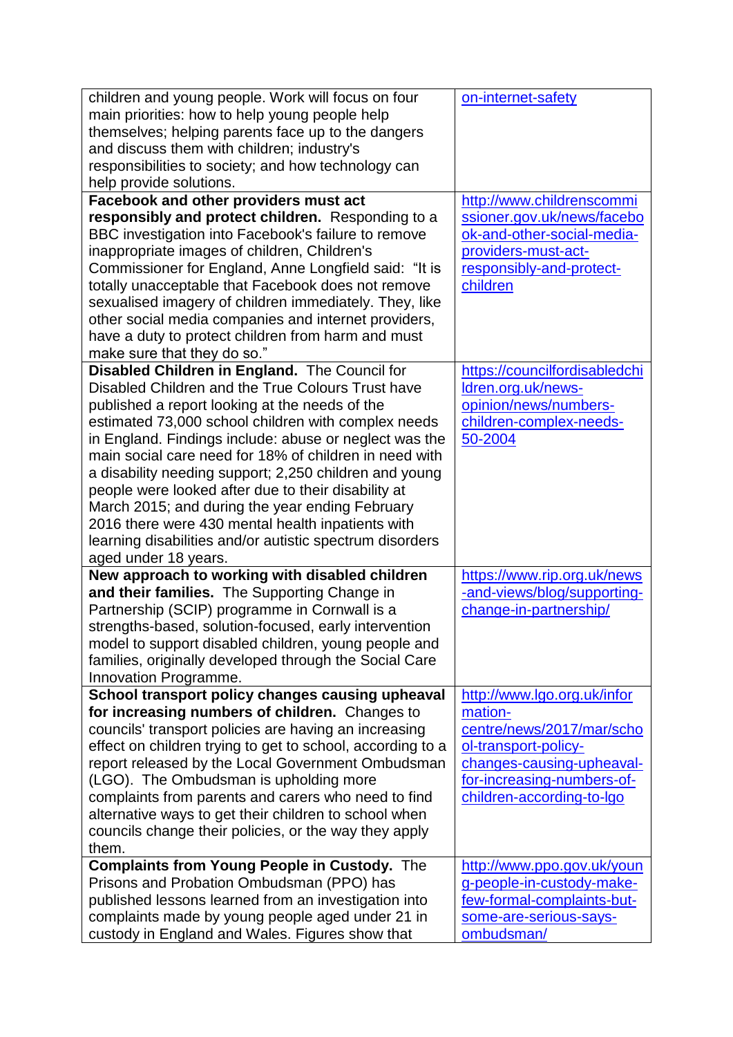| children and young people. Work will focus on four<br>main priorities: how to help young people help<br>themselves; helping parents face up to the dangers<br>and discuss them with children; industry's<br>responsibilities to society; and how technology can<br>help provide solutions.                                                                                                                                                                                                                                                                                                                                                   | on-internet-safety                                                                                                                                                                  |
|----------------------------------------------------------------------------------------------------------------------------------------------------------------------------------------------------------------------------------------------------------------------------------------------------------------------------------------------------------------------------------------------------------------------------------------------------------------------------------------------------------------------------------------------------------------------------------------------------------------------------------------------|-------------------------------------------------------------------------------------------------------------------------------------------------------------------------------------|
| Facebook and other providers must act<br>responsibly and protect children. Responding to a<br>BBC investigation into Facebook's failure to remove<br>inappropriate images of children, Children's<br>Commissioner for England, Anne Longfield said: "It is<br>totally unacceptable that Facebook does not remove<br>sexualised imagery of children immediately. They, like<br>other social media companies and internet providers,<br>have a duty to protect children from harm and must<br>make sure that they do so."                                                                                                                      | http://www.childrenscommi<br>ssioner.gov.uk/news/facebo<br>ok-and-other-social-media-<br>providers-must-act-<br>responsibly-and-protect-<br>children                                |
| Disabled Children in England. The Council for<br>Disabled Children and the True Colours Trust have<br>published a report looking at the needs of the<br>estimated 73,000 school children with complex needs<br>in England. Findings include: abuse or neglect was the<br>main social care need for 18% of children in need with<br>a disability needing support; 2,250 children and young<br>people were looked after due to their disability at<br>March 2015; and during the year ending February<br>2016 there were 430 mental health inpatients with<br>learning disabilities and/or autistic spectrum disorders<br>aged under 18 years. | https://councilfordisabledchi<br>Idren.org.uk/news-<br>opinion/news/numbers-<br>children-complex-needs-<br>50-2004                                                                  |
| New approach to working with disabled children<br>and their families. The Supporting Change in<br>Partnership (SCIP) programme in Cornwall is a<br>strengths-based, solution-focused, early intervention<br>model to support disabled children, young people and<br>families, originally developed through the Social Care<br>Innovation Programme.                                                                                                                                                                                                                                                                                          | https://www.rip.org.uk/news<br>-and-views/blog/supporting-<br>change-in-partnership/                                                                                                |
| School transport policy changes causing upheaval<br>for increasing numbers of children. Changes to<br>councils' transport policies are having an increasing<br>effect on children trying to get to school, according to a<br>report released by the Local Government Ombudsman<br>(LGO). The Ombudsman is upholding more<br>complaints from parents and carers who need to find<br>alternative ways to get their children to school when<br>councils change their policies, or the way they apply<br>them.                                                                                                                                   | http://www.lgo.org.uk/infor<br>mation-<br>centre/news/2017/mar/scho<br>ol-transport-policy-<br>changes-causing-upheaval-<br>for-increasing-numbers-of-<br>children-according-to-Igo |
| <b>Complaints from Young People in Custody.</b> The<br>Prisons and Probation Ombudsman (PPO) has<br>published lessons learned from an investigation into<br>complaints made by young people aged under 21 in<br>custody in England and Wales. Figures show that                                                                                                                                                                                                                                                                                                                                                                              | http://www.ppo.gov.uk/youn<br>g-people-in-custody-make-<br>few-formal-complaints-but-<br>some-are-serious-says-<br>ombudsman/                                                       |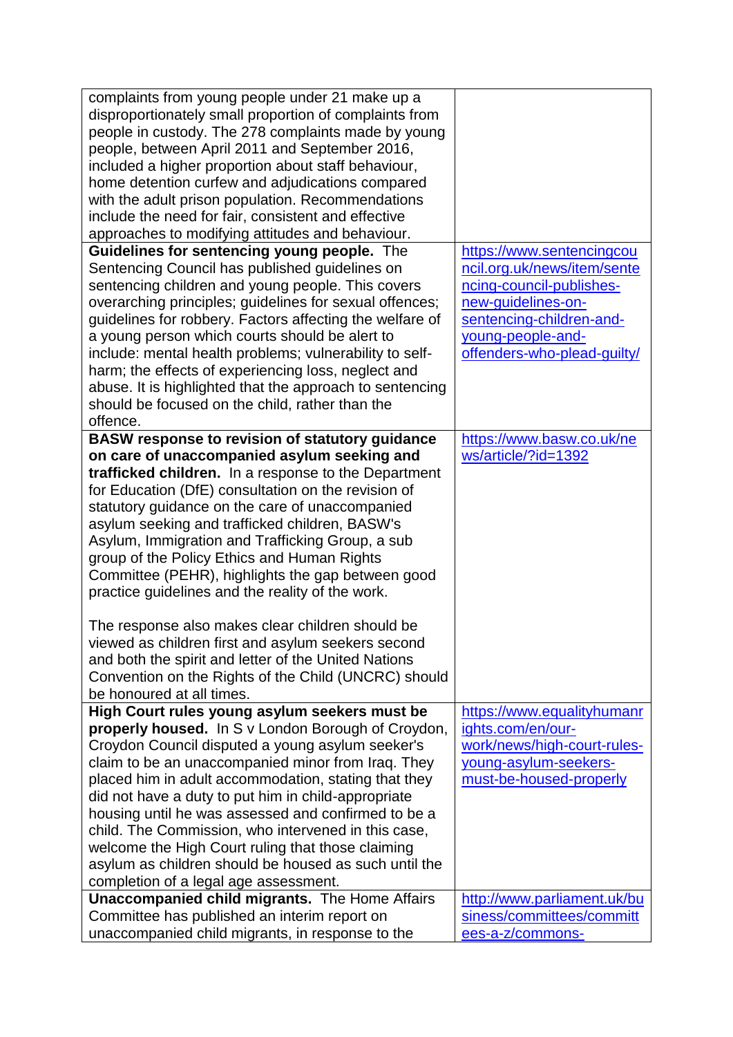| complaints from young people under 21 make up a<br>disproportionately small proportion of complaints from<br>people in custody. The 278 complaints made by young<br>people, between April 2011 and September 2016,<br>included a higher proportion about staff behaviour,<br>home detention curfew and adjudications compared<br>with the adult prison population. Recommendations<br>include the need for fair, consistent and effective<br>approaches to modifying attitudes and behaviour.                                                                                                                                                                                                                                                                                                |                                                                                                                                                                                            |
|----------------------------------------------------------------------------------------------------------------------------------------------------------------------------------------------------------------------------------------------------------------------------------------------------------------------------------------------------------------------------------------------------------------------------------------------------------------------------------------------------------------------------------------------------------------------------------------------------------------------------------------------------------------------------------------------------------------------------------------------------------------------------------------------|--------------------------------------------------------------------------------------------------------------------------------------------------------------------------------------------|
| Guidelines for sentencing young people. The<br>Sentencing Council has published guidelines on<br>sentencing children and young people. This covers<br>overarching principles; guidelines for sexual offences;<br>guidelines for robbery. Factors affecting the welfare of<br>a young person which courts should be alert to<br>include: mental health problems; vulnerability to self-<br>harm; the effects of experiencing loss, neglect and<br>abuse. It is highlighted that the approach to sentencing<br>should be focused on the child, rather than the<br>offence.                                                                                                                                                                                                                     | https://www.sentencingcou<br>ncil.org.uk/news/item/sente<br>ncing-council-publishes-<br>new-guidelines-on-<br>sentencing-children-and-<br>young-people-and-<br>offenders-who-plead-guilty/ |
| <b>BASW response to revision of statutory guidance</b><br>on care of unaccompanied asylum seeking and<br>trafficked children. In a response to the Department<br>for Education (DfE) consultation on the revision of<br>statutory guidance on the care of unaccompanied<br>asylum seeking and trafficked children, BASW's<br>Asylum, Immigration and Trafficking Group, a sub<br>group of the Policy Ethics and Human Rights<br>Committee (PEHR), highlights the gap between good<br>practice guidelines and the reality of the work.<br>The response also makes clear children should be<br>viewed as children first and asylum seekers second<br>and both the spirit and letter of the United Nations<br>Convention on the Rights of the Child (UNCRC) should<br>be honoured at all times. | https://www.basw.co.uk/ne<br>ws/article/?id=1392                                                                                                                                           |
| High Court rules young asylum seekers must be<br>properly housed. In S v London Borough of Croydon,<br>Croydon Council disputed a young asylum seeker's<br>claim to be an unaccompanied minor from Iraq. They<br>placed him in adult accommodation, stating that they<br>did not have a duty to put him in child-appropriate<br>housing until he was assessed and confirmed to be a<br>child. The Commission, who intervened in this case,<br>welcome the High Court ruling that those claiming<br>asylum as children should be housed as such until the<br>completion of a legal age assessment.<br><b>Unaccompanied child migrants.</b> The Home Affairs                                                                                                                                   | https://www.equalityhumanr<br>ights.com/en/our-<br>work/news/high-court-rules-<br>young-asylum-seekers-<br>must-be-housed-properly<br>http://www.parliament.uk/bu                          |
| Committee has published an interim report on<br>unaccompanied child migrants, in response to the                                                                                                                                                                                                                                                                                                                                                                                                                                                                                                                                                                                                                                                                                             | siness/committees/committ<br>ees-a-z/commons-                                                                                                                                              |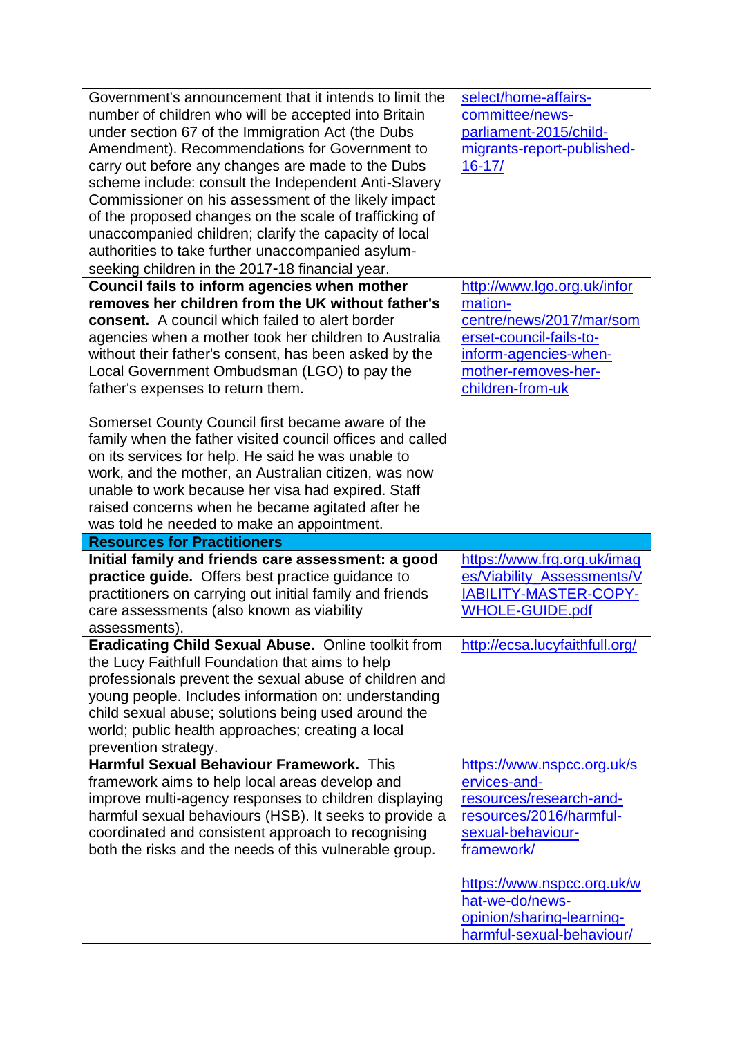| Government's announcement that it intends to limit the<br>number of children who will be accepted into Britain<br>under section 67 of the Immigration Act (the Dubs<br>Amendment). Recommendations for Government to<br>carry out before any changes are made to the Dubs<br>scheme include: consult the Independent Anti-Slavery<br>Commissioner on his assessment of the likely impact<br>of the proposed changes on the scale of trafficking of<br>unaccompanied children; clarify the capacity of local<br>authorities to take further unaccompanied asylum-<br>seeking children in the 2017-18 financial year. | select/home-affairs-<br>committee/news-<br>parliament-2015/child-<br>migrants-report-published-<br>$16 - 17/$                                                     |
|---------------------------------------------------------------------------------------------------------------------------------------------------------------------------------------------------------------------------------------------------------------------------------------------------------------------------------------------------------------------------------------------------------------------------------------------------------------------------------------------------------------------------------------------------------------------------------------------------------------------|-------------------------------------------------------------------------------------------------------------------------------------------------------------------|
| Council fails to inform agencies when mother<br>removes her children from the UK without father's<br><b>consent.</b> A council which failed to alert border<br>agencies when a mother took her children to Australia<br>without their father's consent, has been asked by the<br>Local Government Ombudsman (LGO) to pay the<br>father's expenses to return them.                                                                                                                                                                                                                                                   | http://www.lgo.org.uk/infor<br>mation-<br>centre/news/2017/mar/som<br>erset-council-fails-to-<br>inform-agencies-when-<br>mother-removes-her-<br>children-from-uk |
| Somerset County Council first became aware of the<br>family when the father visited council offices and called<br>on its services for help. He said he was unable to<br>work, and the mother, an Australian citizen, was now<br>unable to work because her visa had expired. Staff<br>raised concerns when he became agitated after he<br>was told he needed to make an appointment.                                                                                                                                                                                                                                |                                                                                                                                                                   |
| <b>Resources for Practitioners</b>                                                                                                                                                                                                                                                                                                                                                                                                                                                                                                                                                                                  |                                                                                                                                                                   |
| Initial family and friends care assessment: a good<br>practice guide. Offers best practice guidance to<br>practitioners on carrying out initial family and friends<br>care assessments (also known as viability<br>assessments).                                                                                                                                                                                                                                                                                                                                                                                    | https://www.frg.org.uk/imag<br>es/Viability Assessments/V<br>IABILITY-MASTER-COPY-<br><b>WHOLE-GUIDE.pdf</b>                                                      |
| <b>Eradicating Child Sexual Abuse. Online toolkit from</b><br>the Lucy Faithfull Foundation that aims to help                                                                                                                                                                                                                                                                                                                                                                                                                                                                                                       | http://ecsa.lucyfaithfull.org/                                                                                                                                    |
| professionals prevent the sexual abuse of children and<br>young people. Includes information on: understanding<br>child sexual abuse; solutions being used around the<br>world; public health approaches; creating a local<br>prevention strategy.                                                                                                                                                                                                                                                                                                                                                                  |                                                                                                                                                                   |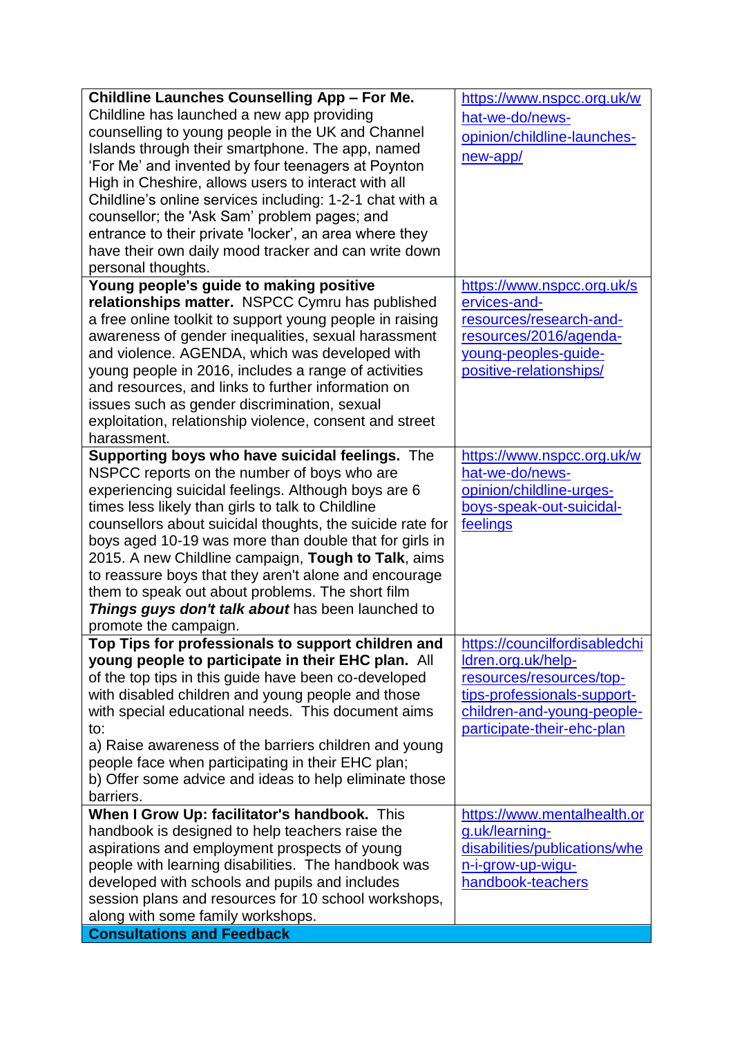| <b>Childline Launches Counselling App - For Me.</b>       | https://www.nspcc.org.uk/w    |
|-----------------------------------------------------------|-------------------------------|
| Childline has launched a new app providing                | hat-we-do/news-               |
| counselling to young people in the UK and Channel         | opinion/childline-launches-   |
| Islands through their smartphone. The app, named          | new-app/                      |
| 'For Me' and invented by four teenagers at Poynton        |                               |
| High in Cheshire, allows users to interact with all       |                               |
| Childline's online services including: 1-2-1 chat with a  |                               |
| counsellor; the 'Ask Sam' problem pages; and              |                               |
| entrance to their private 'locker', an area where they    |                               |
| have their own daily mood tracker and can write down      |                               |
| personal thoughts.                                        |                               |
| Young people's guide to making positive                   | https://www.nspcc.org.uk/s    |
| relationships matter. NSPCC Cymru has published           | ervices-and-                  |
| a free online toolkit to support young people in raising  | resources/research-and-       |
| awareness of gender inequalities, sexual harassment       | resources/2016/agenda-        |
| and violence. AGENDA, which was developed with            | young-peoples-guide-          |
| young people in 2016, includes a range of activities      | positive-relationships/       |
| and resources, and links to further information on        |                               |
| issues such as gender discrimination, sexual              |                               |
| exploitation, relationship violence, consent and street   |                               |
| harassment.                                               |                               |
| Supporting boys who have suicidal feelings. The           | https://www.nspcc.org.uk/w    |
| NSPCC reports on the number of boys who are               | hat-we-do/news-               |
| experiencing suicidal feelings. Although boys are 6       | opinion/childline-urges-      |
| times less likely than girls to talk to Childline         | boys-speak-out-suicidal-      |
| counsellors about suicidal thoughts, the suicide rate for | feelings                      |
| boys aged 10-19 was more than double that for girls in    |                               |
| 2015. A new Childline campaign, Tough to Talk, aims       |                               |
| to reassure boys that they aren't alone and encourage     |                               |
| them to speak out about problems. The short film          |                               |
| Things guys don't talk about has been launched to         |                               |
| promote the campaign.                                     |                               |
| Top Tips for professionals to support children and        | https://councilfordisabledchi |
| young people to participate in their EHC plan. All        | Idren.org.uk/help-            |
| of the top tips in this guide have been co-developed      | resources/resources/top-      |
| with disabled children and young people and those         | tips-professionals-support-   |
| with special educational needs. This document aims        | children-and-young-people-    |
| to:                                                       | participate-their-ehc-plan    |
| a) Raise awareness of the barriers children and young     |                               |
| people face when participating in their EHC plan;         |                               |
| b) Offer some advice and ideas to help eliminate those    |                               |
| barriers.                                                 |                               |
| When I Grow Up: facilitator's handbook. This              | https://www.mentalhealth.or   |
| handbook is designed to help teachers raise the           | g.uk/learning-                |
| aspirations and employment prospects of young             | disabilities/publications/whe |
| people with learning disabilities. The handbook was       | n-i-grow-up-wigu-             |
| developed with schools and pupils and includes            | handbook-teachers             |
| session plans and resources for 10 school workshops,      |                               |
| along with some family workshops.                         |                               |
| <b>Consultations and Feedback</b>                         |                               |